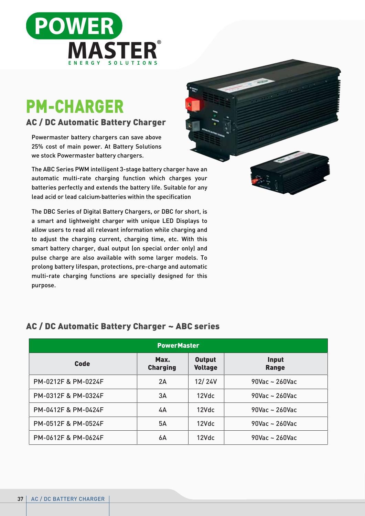

## PM-CHARGER

## AC / DC Automatic Battery Charger

Powermaster battery chargers can save above 25% cost of main power. At Battery Solutions we stock Powermaster battery chargers.

. lead acid or lead calcium batteries within the specification The ABC Series PWM intelligent 3-stage battery charger have an automatic multi-rate charging function which charges your batteries perfectly and extends the battery life. Suitable for any

The DBC Series of Digital Battery Chargers, or DBC for short, is a smart and lightweight charger with unique LED Displays to allow users to read all relevant information while charging and to adjust the charging current, charging time, etc. With this smart battery charger, dual output (on special order only) and pulse charge are also available with some larger models. To prolong battery lifespan, protections, pre-charge and automatic multi-rate charging functions are specially designed for this purpose.



## AC / DC Automatic Battery Charger ~ ABC series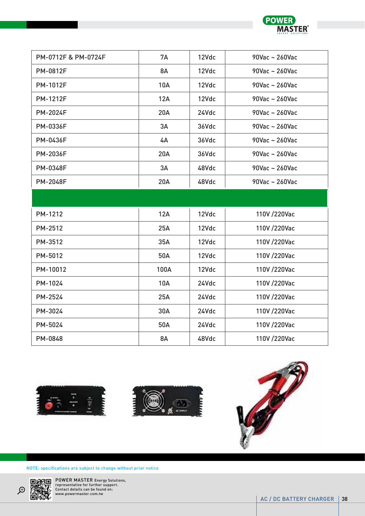

| PM-0712F & PM-0724F | <b>7A</b>  | 12Vdc | 90Vac ~ 260Vac                    |
|---------------------|------------|-------|-----------------------------------|
| <b>PM-0812F</b>     | <b>8A</b>  | 12Vdc | 90Vac ~ 260Vac                    |
| <b>PM-1012F</b>     | <b>10A</b> | 12Vdc | 90Vac ~ 260Vac                    |
| <b>PM-1212F</b>     | 12A        | 12Vdc | 90Vac ~ 260Vac                    |
| <b>PM-2024F</b>     | 20A        | 24Vdc | 90Vac ~ 260Vac                    |
| PM-0336F            | 3A         | 36Vdc | $90\text{Vac} \sim 260\text{Vac}$ |
| PM-0436F            | 4A         | 36Vdc | 90Vac ~ 260Vac                    |
| <b>PM-2036F</b>     | <b>20A</b> | 36Vdc | $90\text{Vac} \sim 260\text{Vac}$ |
| <b>PM-0348F</b>     | 3A         | 48Vdc | $90\text{Vac} \sim 260\text{Vac}$ |
| <b>PM-2048F</b>     | 20A        | 48Vdc | 90Vac ~ 260Vac                    |
|                     |            |       |                                   |
|                     |            |       |                                   |
| PM-1212             | 12A        | 12Vdc | 110V /220Vac                      |
| PM-2512             | 25A        | 12Vdc | 110V /220Vac                      |
| PM-3512             | 35A        | 12Vdc | 110V /220Vac                      |
| PM-5012             | 50A        | 12Vdc | 110V /220Vac                      |
| PM-10012            | 100A       | 12Vdc | 110V /220Vac                      |
| PM-1024             | <b>10A</b> | 24Vdc | 110V /220Vac                      |
| PM-2524             | 25A        | 24Vdc | 110V /220Vac                      |
| PM-3024             | 30A        | 24Vdc | 110V /220Vac                      |
| PM-5024             | 50A        | 24Vdc | 110V /220Vac                      |







NOTE: specifications are subject to change without prior notice



POWER MASTER Energy Solutions, representative for further support. Contact details can be found on: www.powermaster.com.tw